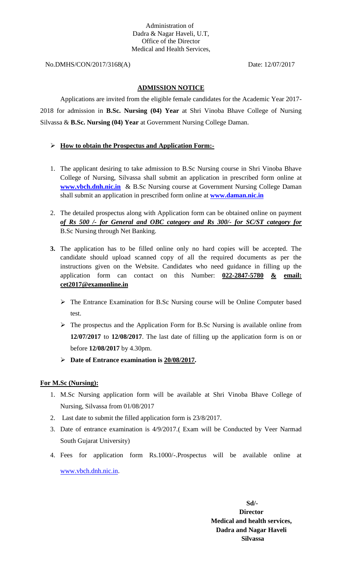No.DMHS/CON/2017/3168(A) Date: 12/07/2017

## **ADMISSION NOTICE**

Applications are invited from the eligible female candidates for the Academic Year 2017- 2018 for admission in **B.Sc. Nursing (04) Year** at Shri Vinoba Bhave College of Nursing Silvassa & **B.Sc. Nursing (04) Year** at Government Nursing College Daman.

# **How to obtain the Prospectus and Application Form:-**

- 1. The applicant desiring to take admission to B.Sc Nursing course in Shri Vinoba Bhave College of Nursing, Silvassa shall submit an application in prescribed form online at **[www.vbch.dnh.nic.in](http://www.vbch.dnh.nic.in/)** & B.Sc Nursing course at Government Nursing College Daman shall submit an application in prescribed form online at **[www.daman.nic.in](http://www.daman.nic.in/)**
- 2. The detailed prospectus along with Application form can be obtained online on payment *of Rs 500 /- for General and OBC category and Rs 300/- for SC/ST category for*  B.Sc Nursing through Net Banking.
- **3.** The application has to be filled online only no hard copies will be accepted. The candidate should upload scanned copy of all the required documents as per the instructions given on the Website. Candidates who need guidance in filling up the application form can contact on this Number: **022-2847-5780 & email: cet2017@examonline.in**
	- The Entrance Examination for B.Sc Nursing course will be Online Computer based test.
	- $\triangleright$  The prospectus and the Application Form for B.Sc Nursing is available online from **12/07/2017** to **12/08/2017**. The last date of filling up the application form is on or before **12/08/2017** by 4.30pm.
	- **Date of Entrance examination is 20/08/2017.**

# **For M.Sc (Nursing):**

- 1. M.Sc Nursing application form will be available at Shri Vinoba Bhave College of Nursing, Silvassa from 01/08/2017
- 2. Last date to submit the filled application form is 23/8/2017.
- 3. Date of entrance examination is 4/9/2017.( Exam will be Conducted by Veer Narmad South Gujarat University)
- 4. Fees for application form Rs.1000/-.Prospectus will be available online at [www.vbch.dnh.nic.in.](http://www.vbch.dnh.nic.in/)

 **Sd/- Director Medical and health services, Dadra and Nagar Haveli Silvassa**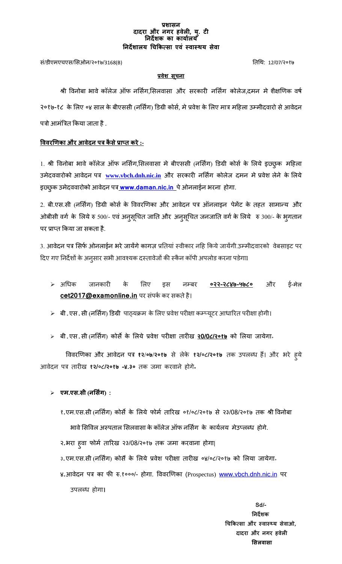#### **प्रशासन दादरा और नगर हवेली, य. ु टी ननदेशक का कायाालय ननदेशालय चिककत्सा एवं स्वास्थय सेवा**

सं/डीएमएचएस/ससओन/२०१७/3168(B) तिथि: 12/07/२०१७

#### **प्रवेश सूिना**

श्री विनोबा भावे कॉलेज ऑफ नर्सिग,सिलवासा और सरकारी नर्सिंग कोलेज,दमन मे शैक्षणिक वर्ष २०१७-१८ के लिए ०४ साल के बीएससी (नर्सिंग) डिग्री कोर्स, मे प्रवेश के लिए मात्र महिला उम्मीदवारो से आवेदन पत्रो आमंत्रित किया जाता है .

## **वववरणिका और आवेदन पत्र कै सेप्राप्त करे:-**

1. श्री विनोबा भावे कॉलेज ऑफ नर्सिग,सिलवासा मे बीएससी (नर्सिंग) डिग्री कोर्स के लिये इछ्छुक महिला उमेदििारोको आिेदन पत्र **[www.vbch.dnh.nic.in](http://www.vbch.dnh.nic.in/)** और सरकारी नससिंग कोलेज दमन मेप्रिेश लेने के सलये इछ्छुक उमेदििारोको आिेदन पत्र **[www.daman.nic.in](http://www.dd.nic.in/)** पेओनलाईन भरना िोगा.

2. बी.एस.सी (नर्सिंग) डिग्री कोर्स के विवरणिका और आवेदन पत्र ऑनलाइन पेमेंट के तहत सामान्य और ओबीसी वर्ग के लिये रु 500/- एवं अनुसूचित जाति और अनुसूचित जनजाति वर्ग के लिये रु 300/- के भुगतान पर प्राप्त किया जा सकता है.

3. आवेदन पत्र सिर्फ ओनलाईन भरे जायेंगे कागज़ प्रतियां स्वीकार नहि किये जायेंगी.उम्मीदवारको वेबसाइट पर दिए गए निर्देशों के अनुसार सभी आवश्यक दस्तावेजों की स्कैन कॉपी अपलोड करना पडेगाI

- अथिक जानकारी के सलए इस नम्बर **०२२-२८४७-५७८०** और ई-मेल **cet2017@examonline.in** पर संपकि कर सकिेिै।
- $\blacktriangleright$  बी.एस.सी (नर्सिंग) डिग्री पाठ्यक्रम के लिए प्रवेश परीक्षा कम्प्यूटर आधारित परीक्षा होगी।
- बी.एस.सी (नससिंग) कोसेके सलये प्रिेश परीक्षा िारीख **२0/0८/२०१७** को सलया जायेगा॰

वििरणिका और आिेदन पत्र **१२/०७/२०१७** से लेके **१२/**०८**/२०१७** िक उपलब्ि िैं। और भरे िुये आिेदन पत्र िारीख **१२/**०८**/२०१७ -४.३०** िक जमा करिाने िोगे**॰**

**एम.एस.सी (नर्सिंग) :**

१एम.एस.सी (नससिंग) कोसेके सलये फोमि िाररख ०१/०८/२०१७ से २३/08/२०१७ िक श्री विनोबा भावे सिविल अस्पताल सिलवासा के कॉलेज ऑफ नर्सिग के कार्यलय मेउप्लब्ध होगे. २भरा िुिा फोमि िाररख २३/08/२०१७ िक जमा करिाना िोगा| ३.एम.एस.सी (नर्सिंग) कोर्से के लिये प्रवेश परीक्षा तारीख ०४/०८/२०१७ को लिया जायेगा<sup>ृ</sup> ४आिेदन पत्र का फी रु.१०००/- िोगा. वििरणिका (Prospectus) www.vbch.[dnh.nic](http://www.vbch.dnh.nic.in/).in पर उपलब्ि िोगा**।**

**Sd/-** Samuel Contract of the State of the State of the State of the State of the State of the State of the State of the State of the State of the State of the State of the State of the State of the State of the State of t  **ननदेशक चिककत्सा और स्वास््य सेवाओ, दादरा और नगर हवेली र्सलवासा**